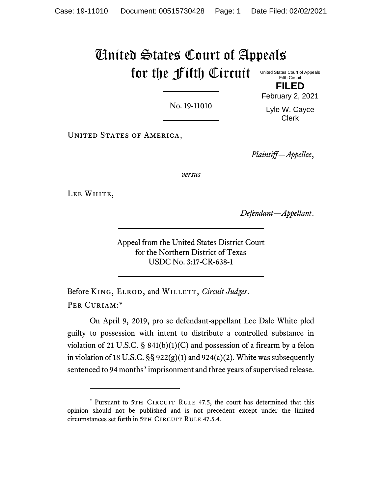# United States Court of Appeals for the Fifth Circuit

No. 19-11010

United States Court of Appeals Fifth Circuit **FILED**

February 2, 2021

Lyle W. Cayce Clerk

UNITED STATES OF AMERICA,

*Plaintiff—Appellee*,

*versus*

LEE WHITE,

*Defendant—Appellant*.

Appeal from the United States District Court for the Northern District of Texas USDC No. 3:17-CR-638-1

Before KING, ELROD, and WILLETT, *Circuit Judges*. PER CURIAM:\*

On April 9, 2019, pro se defendant-appellant Lee Dale White pled guilty to possession with intent to distribute a controlled substance in violation of 21 U.S.C.  $\S$  841(b)(1)(C) and possession of a firearm by a felon in violation of 18 U.S.C.  $\S$ § 922(g)(1) and 924(a)(2). White was subsequently sentenced to 94 months' imprisonment and three years of supervised release.

<sup>\*</sup> Pursuant to 5TH CIRCUIT RULE 47.5, the court has determined that this opinion should not be published and is not precedent except under the limited circumstances set forth in 5TH CIRCUIT RULE 47.5.4.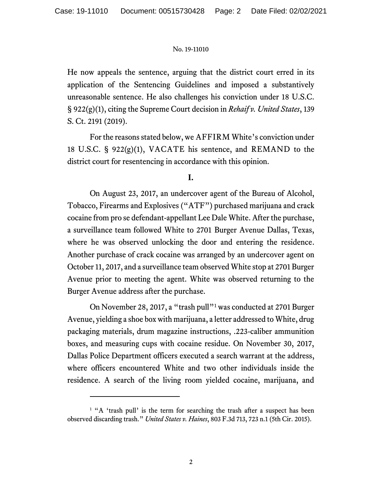He now appeals the sentence, arguing that the district court erred in its application of the Sentencing Guidelines and imposed a substantively unreasonable sentence. He also challenges his conviction under 18 U.S.C. § 922(g)(1), citing the Supreme Court decision in *Rehaif v. United States*, 139 S. Ct. 2191 (2019).

For the reasons stated below, we AFFIRM White's conviction under 18 U.S.C. § 922(g)(1), VACATE his sentence, and REMAND to the district court for resentencing in accordance with this opinion.

# **I.**

On August 23, 2017, an undercover agent of the Bureau of Alcohol, Tobacco, Firearms and Explosives ("ATF") purchased marijuana and crack cocaine from pro se defendant-appellant Lee Dale White. After the purchase, a surveillance team followed White to 2701 Burger Avenue Dallas, Texas, where he was observed unlocking the door and entering the residence. Another purchase of crack cocaine was arranged by an undercover agent on October 11, 2017, and a surveillance team observed White stop at 2701 Burger Avenue prior to meeting the agent. White was observed returning to the Burger Avenue address after the purchase.

On November 28, 2017, a "trash pull"<sup>1</sup> was conducted at 2701 Burger Avenue, yielding a shoe box with marijuana, a letter addressed to White, drug packaging materials, drum magazine instructions, .223-caliber ammunition boxes, and measuring cups with cocaine residue. On November 30, 2017, Dallas Police Department officers executed a search warrant at the address, where officers encountered White and two other individuals inside the residence. A search of the living room yielded cocaine, marijuana, and

<sup>&</sup>lt;sup>1</sup> "A 'trash pull' is the term for searching the trash after a suspect has been observed discarding trash." *United States v. Haines*, 803 F.3d 713, 723 n.1 (5th Cir. 2015).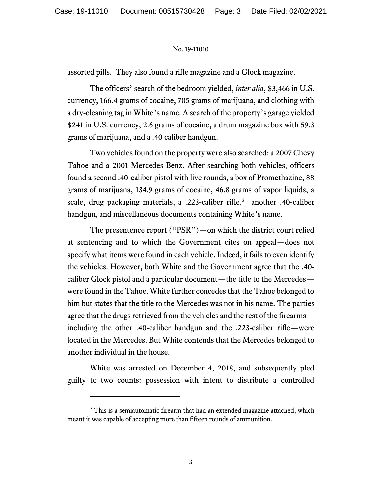assorted pills. They also found a rifle magazine and a Glock magazine.

The officers' search of the bedroom yielded, *inter alia*, \$3,466 in U.S. currency, 166.4 grams of cocaine, 705 grams of marijuana, and clothing with a dry-cleaning tag in White's name. A search of the property's garage yielded \$241 in U.S. currency, 2.6 grams of cocaine, a drum magazine box with 59.3 grams of marijuana, and a .40 caliber handgun.

Two vehicles found on the property were also searched: a 2007 Chevy Tahoe and a 2001 Mercedes-Benz. After searching both vehicles, officers found a second .40-caliber pistol with live rounds, a box of Promethazine, 88 grams of marijuana, 134.9 grams of cocaine, 46.8 grams of vapor liquids, a scale, drug packaging materials, a .223-caliber rifle,<sup>2</sup> another .40-caliber handgun, and miscellaneous documents containing White's name.

The presentence report ("PSR")—on which the district court relied at sentencing and to which the Government cites on appeal—does not specify what items were found in each vehicle. Indeed, it fails to even identify the vehicles. However, both White and the Government agree that the .40 caliber Glock pistol and a particular document—the title to the Mercedes were found in the Tahoe. White further concedes that the Tahoe belonged to him but states that the title to the Mercedes was not in his name. The parties agree that the drugs retrieved from the vehicles and the rest of the firearms including the other .40-caliber handgun and the .223-caliber rifle—were located in the Mercedes. But White contends that the Mercedes belonged to another individual in the house.

White was arrested on December 4, 2018, and subsequently pled guilty to two counts: possession with intent to distribute a controlled

<sup>&</sup>lt;sup>2</sup> This is a semiautomatic firearm that had an extended magazine attached, which meant it was capable of accepting more than fifteen rounds of ammunition.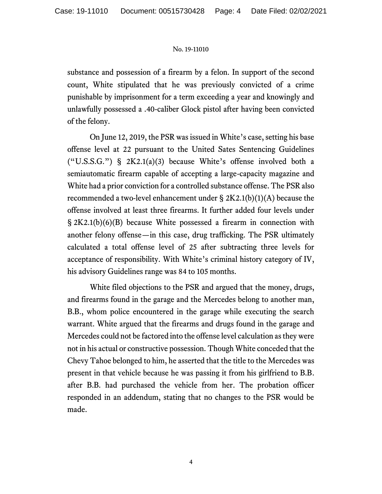substance and possession of a firearm by a felon. In support of the second count, White stipulated that he was previously convicted of a crime punishable by imprisonment for a term exceeding a year and knowingly and unlawfully possessed a .40-caliber Glock pistol after having been convicted of the felony.

On June 12, 2019, the PSR was issued in White's case, setting his base offense level at 22 pursuant to the United Sates Sentencing Guidelines  $("U.S.S.G.")$  §  $2K2.1(a)(3)$  because White's offense involved both a semiautomatic firearm capable of accepting a large-capacity magazine and White had a prior conviction for a controlled substance offense. The PSR also recommended a two-level enhancement under  $\S 2K2.1(b)(1)(A)$  because the offense involved at least three firearms. It further added four levels under § 2K2.1(b)(6)(B) because White possessed a firearm in connection with another felony offense—in this case, drug trafficking. The PSR ultimately calculated a total offense level of 25 after subtracting three levels for acceptance of responsibility. With White's criminal history category of IV, his advisory Guidelines range was 84 to 105 months.

White filed objections to the PSR and argued that the money, drugs, and firearms found in the garage and the Mercedes belong to another man, B.B., whom police encountered in the garage while executing the search warrant. White argued that the firearms and drugs found in the garage and Mercedes could not be factored into the offense level calculation as they were not in his actual or constructive possession. Though White conceded that the Chevy Tahoe belonged to him, he asserted that the title to the Mercedes was present in that vehicle because he was passing it from his girlfriend to B.B. after B.B. had purchased the vehicle from her. The probation officer responded in an addendum, stating that no changes to the PSR would be made.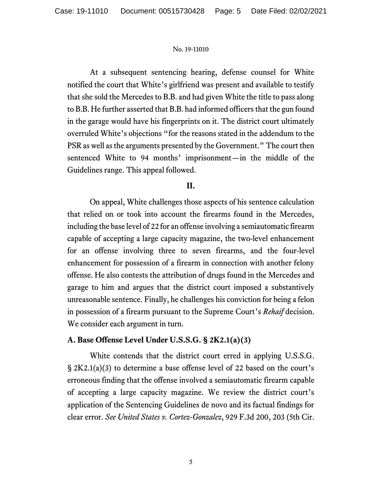At a subsequent sentencing hearing, defense counsel for White notified the court that White's girlfriend was present and available to testify that she sold the Mercedes to B.B. and had given White the title to pass along to B.B. He further asserted that B.B. had informed officers that the gun found in the garage would have his fingerprints on it. The district court ultimately overruled White's objections "for the reasons stated in the addendum to the PSR as well as the arguments presented by the Government." The court then sentenced White to 94 months' imprisonment—in the middle of the Guidelines range. This appeal followed.

# **II.**

On appeal, White challenges those aspects of his sentence calculation that relied on or took into account the firearms found in the Mercedes, including the base level of 22 for an offense involving a semiautomatic firearm capable of accepting a large capacity magazine, the two-level enhancement for an offense involving three to seven firearms, and the four-level enhancement for possession of a firearm in connection with another felony offense. He also contests the attribution of drugs found in the Mercedes and garage to him and argues that the district court imposed a substantively unreasonable sentence. Finally, he challenges his conviction for being a felon in possession of a firearm pursuant to the Supreme Court's *Rehaif* decision. We consider each argument in turn.

# **A. Base Offense Level Under U.S.S.G. § 2K2.1(a)(3)**

White contends that the district court erred in applying U.S.S.G. § 2K2.1(a)(3) to determine a base offense level of 22 based on the court's erroneous finding that the offense involved a semiautomatic firearm capable of accepting a large capacity magazine. We review the district court's application of the Sentencing Guidelines de novo and its factual findings for clear error. *See United States v. Cortez-Gonzalez*, 929 F.3d 200, 203 (5th Cir.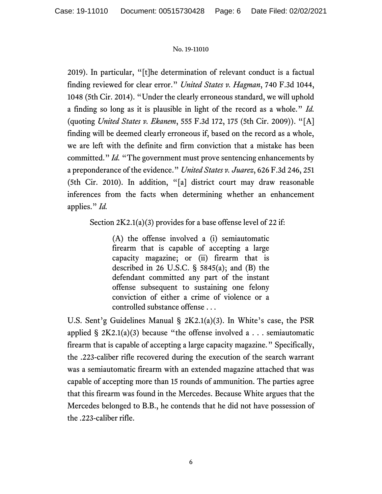2019). In particular, "[t]he determination of relevant conduct is a factual finding reviewed for clear error." *United States v. Hagman*, 740 F.3d 1044, 1048 (5th Cir. 2014). "Under the clearly erroneous standard, we will uphold a finding so long as it is plausible in light of the record as a whole." *Id.* (quoting *United States v. Ekanem*, 555 F.3d 172, 175 (5th Cir. 2009)). "[A] finding will be deemed clearly erroneous if, based on the record as a whole, we are left with the definite and firm conviction that a mistake has been committed." *Id.* "The government must prove sentencing enhancements by a preponderance of the evidence." *United States v. Juarez*, 626 F.3d 246, 251 (5th Cir. 2010). In addition, "[a] district court may draw reasonable inferences from the facts when determining whether an enhancement applies." *Id.*

Section 2K2.1(a)(3) provides for a base offense level of 22 if:

(A) the offense involved a (i) semiautomatic firearm that is capable of accepting a large capacity magazine; or (ii) firearm that is described in 26 U.S.C. § 5845(a); and (B) the defendant committed any part of the instant offense subsequent to sustaining one felony conviction of either a crime of violence or a controlled substance offense . . .

U.S. Sent'g Guidelines Manual § 2K2.1(a)(3). In White's case, the PSR applied  $\S 2K2.1(a)(3)$  because "the offense involved a . . . semiautomatic firearm that is capable of accepting a large capacity magazine." Specifically, the .223-caliber rifle recovered during the execution of the search warrant was a semiautomatic firearm with an extended magazine attached that was capable of accepting more than 15 rounds of ammunition. The parties agree that this firearm was found in the Mercedes. Because White argues that the Mercedes belonged to B.B., he contends that he did not have possession of the .223-caliber rifle.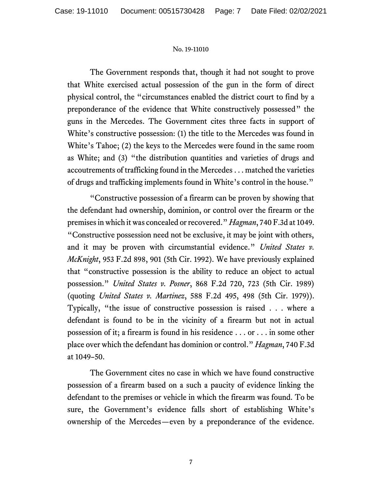The Government responds that, though it had not sought to prove that White exercised actual possession of the gun in the form of direct physical control, the "circumstances enabled the district court to find by a preponderance of the evidence that White constructively possessed" the guns in the Mercedes. The Government cites three facts in support of White's constructive possession: (1) the title to the Mercedes was found in White's Tahoe; (2) the keys to the Mercedes were found in the same room as White; and (3) "the distribution quantities and varieties of drugs and accoutrements of trafficking found in the Mercedes . . . matched the varieties of drugs and trafficking implements found in White's control in the house."

"Constructive possession of a firearm can be proven by showing that the defendant had ownership, dominion, or control over the firearm or the premises in which it was concealed or recovered." *Hagman*, 740 F.3d at 1049. "Constructive possession need not be exclusive, it may be joint with others, and it may be proven with circumstantial evidence." *United States v. McKnight*, 953 F.2d 898, 901 (5th Cir. 1992). We have previously explained that "constructive possession is the ability to reduce an object to actual possession." *United States v. Posner*, 868 F.2d 720, 723 (5th Cir. 1989) (quoting *United States v. Martinez*, 588 F.2d 495, 498 (5th Cir. 1979)). Typically, "the issue of constructive possession is raised . . . where a defendant is found to be in the vicinity of a firearm but not in actual possession of it; a firearm is found in his residence . . . or . . . in some other place over which the defendant has dominion or control." *Hagman*, 740 F.3d at 1049–50.

The Government cites no case in which we have found constructive possession of a firearm based on a such a paucity of evidence linking the defendant to the premises or vehicle in which the firearm was found. To be sure, the Government's evidence falls short of establishing White's ownership of the Mercedes—even by a preponderance of the evidence.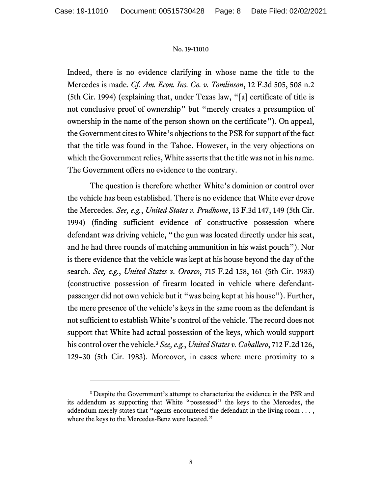Indeed, there is no evidence clarifying in whose name the title to the Mercedes is made. *Cf. Am. Econ. Ins. Co. v. Tomlinson*, 12 F.3d 505, 508 n.2 (5th Cir. 1994) (explaining that, under Texas law, "[a] certificate of title is not conclusive proof of ownership" but "merely creates a presumption of ownership in the name of the person shown on the certificate"). On appeal, the Government cites to White's objections to the PSR for support of the fact that the title was found in the Tahoe. However, in the very objections on which the Government relies, White asserts that the title was not in his name. The Government offers no evidence to the contrary.

The question is therefore whether White's dominion or control over the vehicle has been established. There is no evidence that White ever drove the Mercedes. *See, e.g.*, *United States v. Prudhome*, 13 F.3d 147, 149 (5th Cir. 1994) (finding sufficient evidence of constructive possession where defendant was driving vehicle, "the gun was located directly under his seat, and he had three rounds of matching ammunition in his waist pouch"). Nor is there evidence that the vehicle was kept at his house beyond the day of the search. *See, e.g.*, *United States v. Orozco*, 715 F.2d 158, 161 (5th Cir. 1983) (constructive possession of firearm located in vehicle where defendantpassenger did not own vehicle but it "was being kept at his house"). Further, the mere presence of the vehicle's keys in the same room as the defendant is not sufficient to establish White's control of the vehicle. The record does not support that White had actual possession of the keys, which would support his control over the vehicle.<sup>3</sup> *See, e.g.*, *United States v. Caballero*, 712 F.2d 126, 129–30 (5th Cir. 1983). Moreover, in cases where mere proximity to a

<sup>&</sup>lt;sup>3</sup> Despite the Government's attempt to characterize the evidence in the PSR and its addendum as supporting that White "possessed" the keys to the Mercedes, the addendum merely states that "agents encountered the defendant in the living room . . . , where the keys to the Mercedes-Benz were located."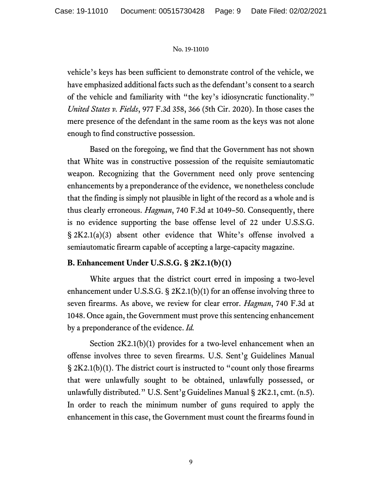vehicle's keys has been sufficient to demonstrate control of the vehicle, we have emphasized additional facts such as the defendant's consent to a search of the vehicle and familiarity with "the key's idiosyncratic functionality." *United States v. Fields*, 977 F.3d 358, 366 (5th Cir. 2020). In those cases the mere presence of the defendant in the same room as the keys was not alone enough to find constructive possession.

Based on the foregoing, we find that the Government has not shown that White was in constructive possession of the requisite semiautomatic weapon. Recognizing that the Government need only prove sentencing enhancements by a preponderance of the evidence, we nonetheless conclude that the finding is simply not plausible in light of the record as a whole and is thus clearly erroneous. *Hagman*, 740 F.3d at 1049–50. Consequently, there is no evidence supporting the base offense level of 22 under U.S.S.G. § 2K2.1(a)(3) absent other evidence that White's offense involved a semiautomatic firearm capable of accepting a large-capacity magazine.

# **B. Enhancement Under U.S.S.G. § 2K2.1(b)(1)**

White argues that the district court erred in imposing a two-level enhancement under U.S.S.G. § 2K2.1(b)(1) for an offense involving three to seven firearms. As above, we review for clear error. *Hagman*, 740 F.3d at 1048. Once again, the Government must prove this sentencing enhancement by a preponderance of the evidence. *Id.*

Section 2K2.1(b)(1) provides for a two-level enhancement when an offense involves three to seven firearms. U.S. Sent'g Guidelines Manual § 2K2.1(b)(1). The district court is instructed to "count only those firearms that were unlawfully sought to be obtained, unlawfully possessed, or unlawfully distributed." U.S. Sent'g Guidelines Manual § 2K2.1, cmt. (n.5). In order to reach the minimum number of guns required to apply the enhancement in this case, the Government must count the firearms found in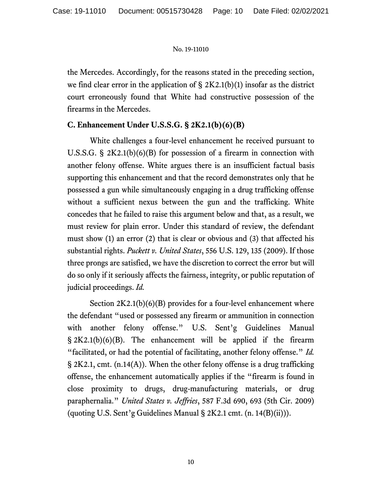the Mercedes. Accordingly, for the reasons stated in the preceding section, we find clear error in the application of  $\S 2K2.1(b)(1)$  insofar as the district court erroneously found that White had constructive possession of the firearms in the Mercedes.

# **C. Enhancement Under U.S.S.G. § 2K2.1(b)(6)(B)**

White challenges a four-level enhancement he received pursuant to U.S.S.G. § 2K2.1(b)(6)(B) for possession of a firearm in connection with another felony offense. White argues there is an insufficient factual basis supporting this enhancement and that the record demonstrates only that he possessed a gun while simultaneously engaging in a drug trafficking offense without a sufficient nexus between the gun and the trafficking. White concedes that he failed to raise this argument below and that, as a result, we must review for plain error. Under this standard of review, the defendant must show (1) an error (2) that is clear or obvious and (3) that affected his substantial rights. *Puckett v. United States*, 556 U.S. 129, 135 (2009). If those three prongs are satisfied, we have the discretion to correct the error but will do so only if it seriously affects the fairness, integrity, or public reputation of judicial proceedings. *Id.*

Section  $2K2.1(b)(6)(B)$  provides for a four-level enhancement where the defendant "used or possessed any firearm or ammunition in connection with another felony offense." U.S. Sent'g Guidelines Manual § 2K2.1(b)(6)(B). The enhancement will be applied if the firearm "facilitated, or had the potential of facilitating, another felony offense." *Id.*  § 2K2.1, cmt. (n.14(A)). When the other felony offense is a drug trafficking offense, the enhancement automatically applies if the "firearm is found in close proximity to drugs, drug-manufacturing materials, or drug paraphernalia." *United States v. Jeffries*, 587 F.3d 690, 693 (5th Cir. 2009) (quoting U.S. Sent'g Guidelines Manual § 2K2.1 cmt. (n. 14(B)(ii))).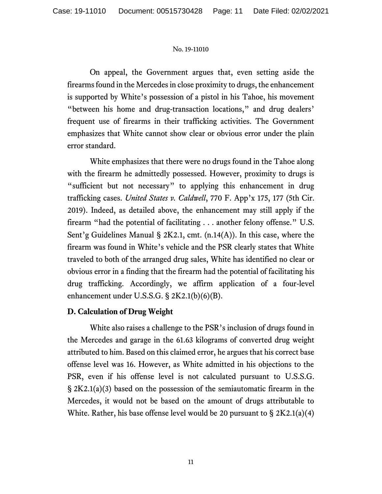On appeal, the Government argues that, even setting aside the firearms found in the Mercedes in close proximity to drugs, the enhancement is supported by White's possession of a pistol in his Tahoe, his movement "between his home and drug-transaction locations," and drug dealers' frequent use of firearms in their trafficking activities. The Government emphasizes that White cannot show clear or obvious error under the plain error standard.

White emphasizes that there were no drugs found in the Tahoe along with the firearm he admittedly possessed. However, proximity to drugs is "sufficient but not necessary" to applying this enhancement in drug trafficking cases. *United States v. Caldwell*, 770 F. App'x 175, 177 (5th Cir. 2019). Indeed, as detailed above, the enhancement may still apply if the firearm "had the potential of facilitating . . . another felony offense." U.S. Sent'g Guidelines Manual § 2K2.1, cmt. (n.14(A)). In this case, where the firearm was found in White's vehicle and the PSR clearly states that White traveled to both of the arranged drug sales, White has identified no clear or obvious error in a finding that the firearm had the potential of facilitating his drug trafficking. Accordingly, we affirm application of a four-level enhancement under U.S.S.G. § 2K2.1(b)(6)(B).

# **D. Calculation of Drug Weight**

White also raises a challenge to the PSR's inclusion of drugs found in the Mercedes and garage in the 61.63 kilograms of converted drug weight attributed to him. Based on this claimed error, he argues that his correct base offense level was 16. However, as White admitted in his objections to the PSR, even if his offense level is not calculated pursuant to U.S.S.G. § 2K2.1(a)(3) based on the possession of the semiautomatic firearm in the Mercedes, it would not be based on the amount of drugs attributable to White. Rather, his base offense level would be 20 pursuant to  $\S 2K2.1(a)(4)$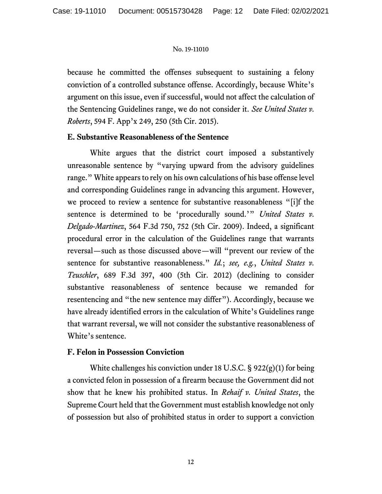because he committed the offenses subsequent to sustaining a felony conviction of a controlled substance offense. Accordingly, because White's argument on this issue, even if successful, would not affect the calculation of the Sentencing Guidelines range, we do not consider it. *See United States v. Roberts*, 594 F. App'x 249, 250 (5th Cir. 2015).

## **E. Substantive Reasonableness of the Sentence**

White argues that the district court imposed a substantively unreasonable sentence by "varying upward from the advisory guidelines range." White appears to rely on his own calculations of his base offense level and corresponding Guidelines range in advancing this argument. However, we proceed to review a sentence for substantive reasonableness "[i]f the sentence is determined to be 'procedurally sound.'" *United States v. Delgado-Martinez*, 564 F.3d 750, 752 (5th Cir. 2009). Indeed, a significant procedural error in the calculation of the Guidelines range that warrants reversal—such as those discussed above—will "prevent our review of the sentence for substantive reasonableness." *Id.*; *see, e.g.*, *United States v. Teuschler*, 689 F.3d 397, 400 (5th Cir. 2012) (declining to consider substantive reasonableness of sentence because we remanded for resentencing and "the new sentence may differ"). Accordingly, because we have already identified errors in the calculation of White's Guidelines range that warrant reversal, we will not consider the substantive reasonableness of White's sentence.

## **F. Felon in Possession Conviction**

White challenges his conviction under 18 U.S.C.  $\S$  922(g)(1) for being a convicted felon in possession of a firearm because the Government did not show that he knew his prohibited status. In *Rehaif v. United States*, the Supreme Court held that the Government must establish knowledge not only of possession but also of prohibited status in order to support a conviction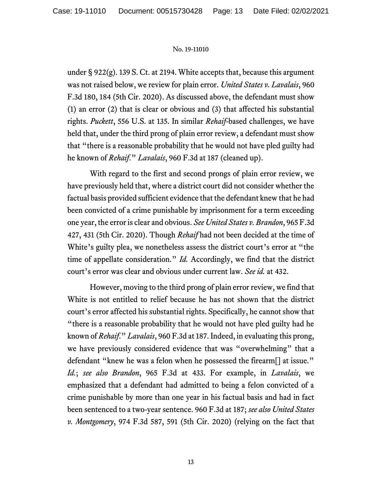under § 922(g). 139 S. Ct. at 2194. White accepts that, because this argument was not raised below, we review for plain error. *United States v. Lavalais*, 960 F.3d 180, 184 (5th Cir. 2020). As discussed above, the defendant must show (1) an error (2) that is clear or obvious and (3) that affected his substantial rights. *Puckett*, 556 U.S. at 135. In similar *Rehaif*-based challenges, we have held that, under the third prong of plain error review, a defendant must show that "there is a reasonable probability that he would not have pled guilty had he known of *Rehaif*." *Lavalais*, 960 F.3d at 187 (cleaned up).

With regard to the first and second prongs of plain error review, we have previously held that, where a district court did not consider whether the factual basis provided sufficient evidence that the defendant knew that he had been convicted of a crime punishable by imprisonment for a term exceeding one year, the error is clear and obvious. *See United States v. Brandon*, 965 F.3d 427, 431 (5th Cir. 2020). Though *Rehaif* had not been decided at the time of White's guilty plea, we nonetheless assess the district court's error at "the time of appellate consideration." *Id.* Accordingly, we find that the district court's error was clear and obvious under current law. *See id.* at 432.

However, moving to the third prong of plain error review, we find that White is not entitled to relief because he has not shown that the district court's error affected his substantial rights. Specifically, he cannot show that "there is a reasonable probability that he would not have pled guilty had he known of *Rehaif*." *Lavalais*, 960 F.3d at 187. Indeed, in evaluating this prong, we have previously considered evidence that was "overwhelming" that a defendant "knew he was a felon when he possessed the firearm[] at issue." *Id.*; *see also Brandon*, 965 F.3d at 433. For example, in *Lavalais*, we emphasized that a defendant had admitted to being a felon convicted of a crime punishable by more than one year in his factual basis and had in fact been sentenced to a two-year sentence. 960 F.3d at 187; *see also United States v. Montgomery*, 974 F.3d 587, 591 (5th Cir. 2020) (relying on the fact that